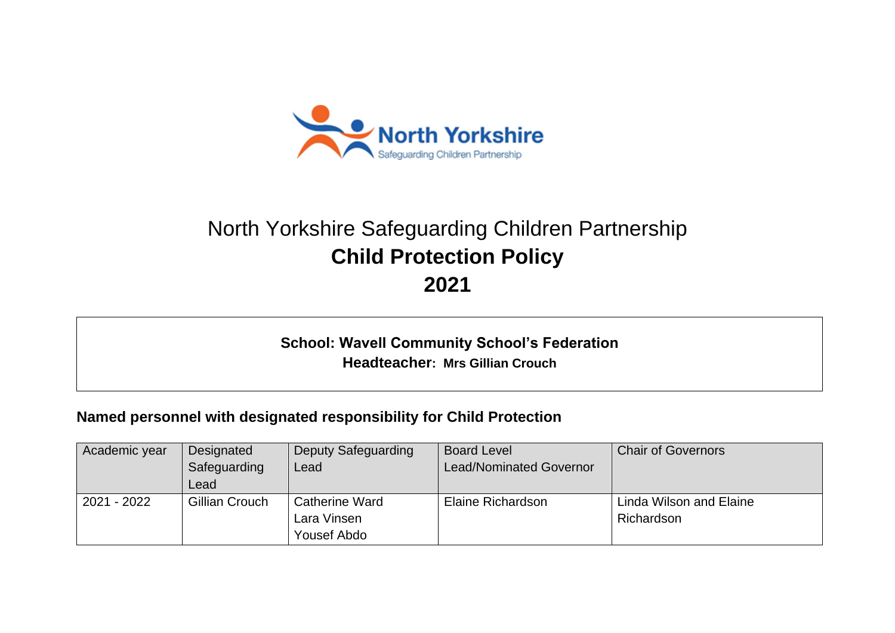

# North Yorkshire Safeguarding Children Partnership **Child Protection Policy 2021**

**School: Wavell Community School's Federation Headteacher: Mrs Gillian Crouch**

## **Named personnel with designated responsibility for Child Protection**

| Academic year | Designated     | <b>Deputy Safeguarding</b> | <b>Board Level</b>      | <b>Chair of Governors</b> |
|---------------|----------------|----------------------------|-------------------------|---------------------------|
|               | Safeguarding   | Lead                       | Lead/Nominated Governor |                           |
|               | Lead           |                            |                         |                           |
| 2021 - 2022   | Gillian Crouch | <b>Catherine Ward</b>      | Elaine Richardson       | Linda Wilson and Elaine   |
|               |                | Lara Vinsen                |                         | Richardson                |
|               |                | Yousef Abdo                |                         |                           |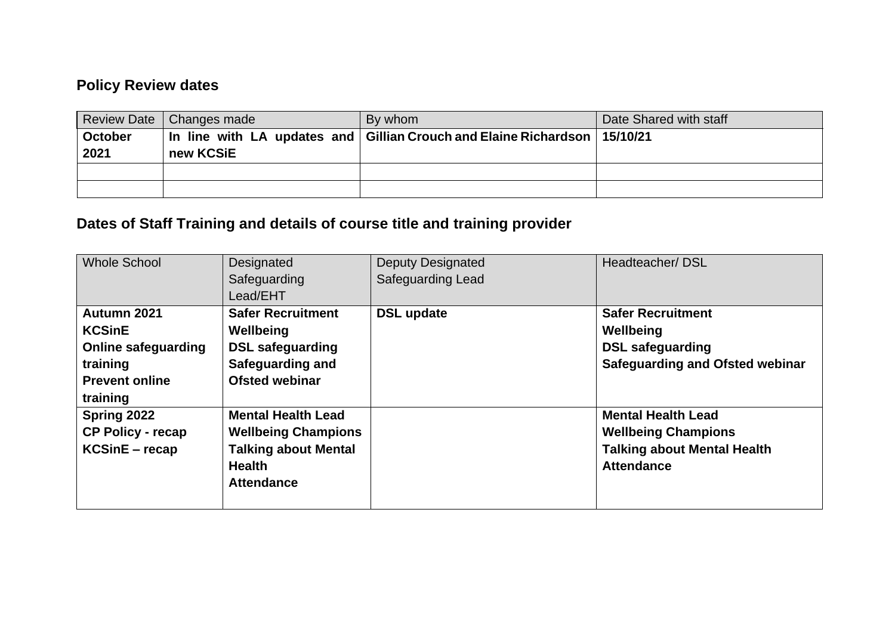## **Policy Review dates**

|                | Review Date   Changes made | By whom                                                                       | Date Shared with staff |
|----------------|----------------------------|-------------------------------------------------------------------------------|------------------------|
| <b>October</b> |                            | In line with LA updates and   Gillian Crouch and Elaine Richardson   15/10/21 |                        |
| 2021           | new KCSiE                  |                                                                               |                        |
|                |                            |                                                                               |                        |
|                |                            |                                                                               |                        |

## **Dates of Staff Training and details of course title and training provider**

| <b>Whole School</b>                                                                                         | Designated<br>Safeguarding<br>Lead/EHT                                                                                       | <b>Deputy Designated</b><br><b>Safeguarding Lead</b> | Headteacher/DSL                                                                                                    |
|-------------------------------------------------------------------------------------------------------------|------------------------------------------------------------------------------------------------------------------------------|------------------------------------------------------|--------------------------------------------------------------------------------------------------------------------|
| Autumn 2021<br><b>KCSinE</b><br><b>Online safeguarding</b><br>training<br><b>Prevent online</b><br>training | <b>Safer Recruitment</b><br>Wellbeing<br><b>DSL safeguarding</b><br>Safeguarding and<br><b>Ofsted webinar</b>                | <b>DSL update</b>                                    | <b>Safer Recruitment</b><br>Wellbeing<br><b>DSL safeguarding</b><br><b>Safeguarding and Ofsted webinar</b>         |
| Spring 2022<br><b>CP Policy - recap</b><br><b>KCSinE</b> – recap                                            | <b>Mental Health Lead</b><br><b>Wellbeing Champions</b><br><b>Talking about Mental</b><br><b>Health</b><br><b>Attendance</b> |                                                      | <b>Mental Health Lead</b><br><b>Wellbeing Champions</b><br><b>Talking about Mental Health</b><br><b>Attendance</b> |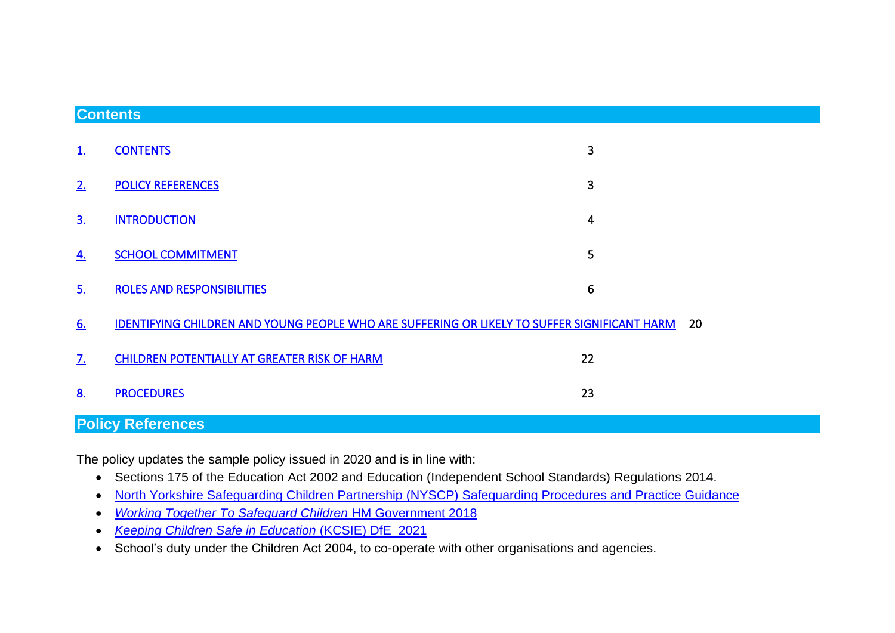#### <span id="page-2-0"></span>**Contents**

| <b>Policy References</b> |                                                                                              |    |  |  |
|--------------------------|----------------------------------------------------------------------------------------------|----|--|--|
| 8.                       | <b>PROCEDURES</b>                                                                            | 23 |  |  |
| <u>7.</u>                | CHILDREN POTENTIALLY AT GREATER RISK OF HARM                                                 | 22 |  |  |
| 6.                       | IDENTIFYING CHILDREN AND YOUNG PEOPLE WHO ARE SUFFERING OR LIKELY TO SUFFER SIGNIFICANT HARM | 20 |  |  |
| <u>5.</u>                | <b>ROLES AND RESPONSIBILITIES</b>                                                            | 6  |  |  |
| 4.                       | <b>SCHOOL COMMITMENT</b>                                                                     | 5  |  |  |
| <u>3.</u>                | <b>INTRODUCTION</b>                                                                          | 4  |  |  |
| 2.                       | <b>POLICY REFERENCES</b>                                                                     | 3  |  |  |
| <u>1.</u>                | <b>CONTENTS</b>                                                                              | 3  |  |  |

<span id="page-2-1"></span>**Policy References**

The policy updates the sample policy issued in 2020 and is in line with:

- Sections 175 of the Education Act 2002 and Education (Independent School Standards) Regulations 2014.
- [North Yorkshire Safeguarding Children Partnership \(NYSCP\) Safeguarding Procedures and Practice Guidance](https://www.safeguardingchildren.co.uk/professionals/)
- *[Working Together To Safeguard Children](https://www.gov.uk/government/publications/working-together-to-safeguard-children--2)* HM Government 2018
- *[Keeping Children Safe in Education](https://www.gov.uk/government/publications/keeping-children-safe-in-education--2)* (KCSIE) DfE 2021
- School's duty under the Children Act 2004, to co-operate with other organisations and agencies.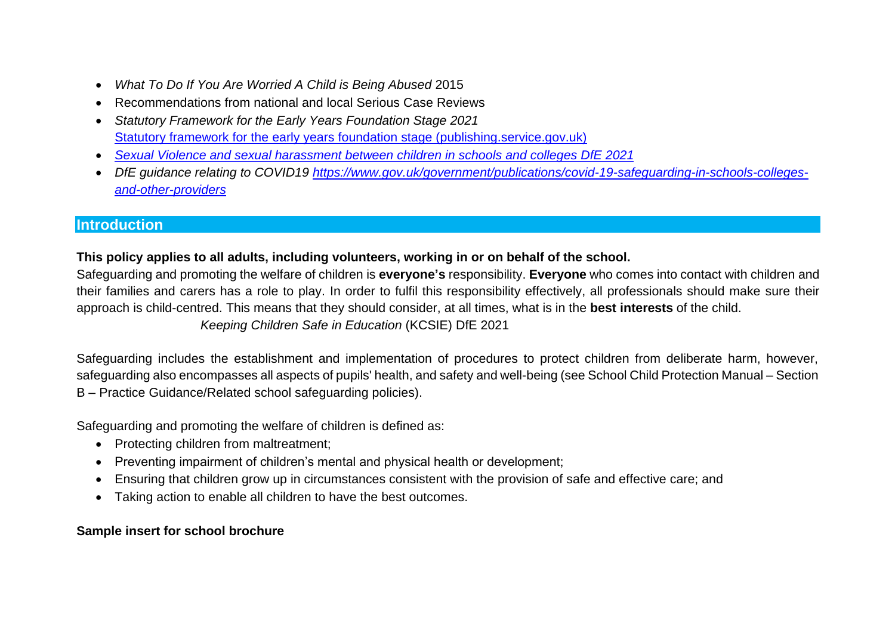- *What To Do If You Are Worried A Child is Being Abused* 2015
- Recommendations from national and local Serious Case Reviews
- *Statutory Framework for the Early Years Foundation Stage 2021* [Statutory framework for the early years foundation stage \(publishing.service.gov.uk\)](https://assets.publishing.service.gov.uk/government/uploads/system/uploads/attachment_data/file/974907/EYFS_framework_-_March_2021.pdf)
- *[Sexual Violence and sexual harassment between children in schools and colleges DfE 2021](https://assets.publishing.service.gov.uk/government/uploads/system/uploads/attachment_data/file/999239/SVSH_2021.pdf)*
- *DfE guidance relating to COVID19 [https://www.gov.uk/government/publications/covid-19-safeguarding-in-schools-colleges](https://www.gov.uk/government/publications/covid-19-safeguarding-in-schools-colleges-and-other-providers)[and-other-providers](https://www.gov.uk/government/publications/covid-19-safeguarding-in-schools-colleges-and-other-providers)*

#### <span id="page-3-0"></span>**Introduction**

#### **This policy applies to all adults, including volunteers, working in or on behalf of the school.**

Safeguarding and promoting the welfare of children is **everyone's** responsibility. **Everyone** who comes into contact with children and their families and carers has a role to play. In order to fulfil this responsibility effectively, all professionals should make sure their approach is child-centred. This means that they should consider, at all times, what is in the **best interests** of the child.  *Keeping Children Safe in Education* (KCSIE) DfE 2021

Safeguarding includes the establishment and implementation of procedures to protect children from deliberate harm, however, safeguarding also encompasses all aspects of pupils' health, and safety and well-being (see School Child Protection Manual – Section B – Practice Guidance/Related school safeguarding policies).

Safeguarding and promoting the welfare of children is defined as:

- Protecting children from maltreatment;
- Preventing impairment of children's mental and physical health or development;
- Ensuring that children grow up in circumstances consistent with the provision of safe and effective care; and
- Taking action to enable all children to have the best outcomes.

## **Sample insert for school brochure**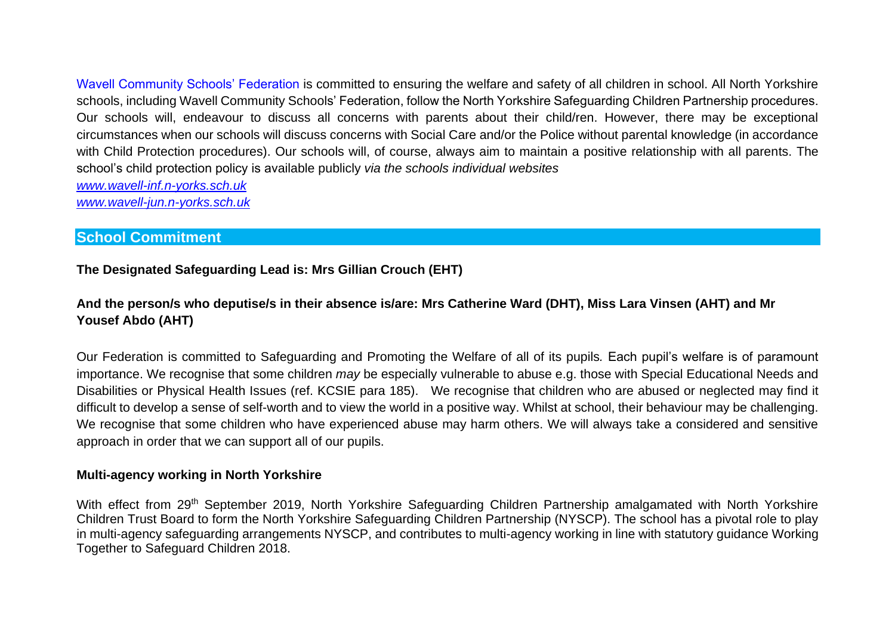Wavell Community Schools' Federation is committed to ensuring the welfare and safety of all children in school. All North Yorkshire schools, including Wavell Community Schools' Federation, follow the North Yorkshire Safeguarding Children Partnership procedures. Our schools will, endeavour to discuss all concerns with parents about their child/ren. However, there may be exceptional circumstances when our schools will discuss concerns with Social Care and/or the Police without parental knowledge (in accordance with Child Protection procedures). Our schools will, of course, always aim to maintain a positive relationship with all parents. The school's child protection policy is available publicly *via the schools individual websites [www.wavell-inf.n-yorks.sch.uk](http://www.wavell-inf.n-yorks.sch.uk/)*

*[www.wavell-jun.n-yorks.sch.uk](http://www.wavell-jun.n-yorks.sch.uk/)*

#### <span id="page-4-0"></span>**School Commitment**

**The Designated Safeguarding Lead is: Mrs Gillian Crouch (EHT)**

#### **And the person/s who deputise/s in their absence is/are: Mrs Catherine Ward (DHT), Miss Lara Vinsen (AHT) and Mr Yousef Abdo (AHT)**

Our Federation is committed to Safeguarding and Promoting the Welfare of all of its pupils*.* Each pupil's welfare is of paramount importance. We recognise that some children *may* be especially vulnerable to abuse e.g. those with Special Educational Needs and Disabilities or Physical Health Issues (ref. KCSIE para 185). We recognise that children who are abused or neglected may find it difficult to develop a sense of self-worth and to view the world in a positive way. Whilst at school, their behaviour may be challenging. We recognise that some children who have experienced abuse may harm others. We will always take a considered and sensitive approach in order that we can support all of our pupils.

#### **Multi-agency working in North Yorkshire**

With effect from 29<sup>th</sup> September 2019, North Yorkshire Safeguarding Children Partnership amalgamated with North Yorkshire Children Trust Board to form the North Yorkshire Safeguarding Children Partnership (NYSCP). The school has a pivotal role to play in multi-agency safeguarding arrangements NYSCP, and contributes to multi-agency working in line with statutory guidance Working Together to Safeguard Children 2018.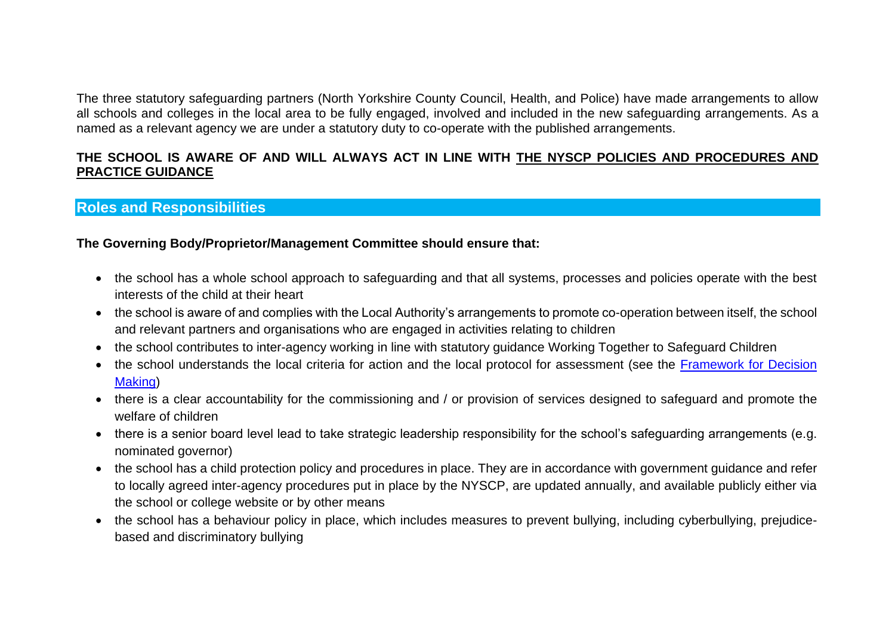The three statutory safeguarding partners (North Yorkshire County Council, Health, and Police) have made arrangements to allow all schools and colleges in the local area to be fully engaged, involved and included in the new safeguarding arrangements. As a named as a relevant agency we are under a statutory duty to co-operate with the published arrangements.

#### **THE SCHOOL IS AWARE OF AND WILL ALWAYS ACT IN LINE WITH [THE NYSCP POLICIES AND PROCEDURES AND](http://www.safeguardingchildren.co.uk/)  [PRACTICE GUIDANCE](http://www.safeguardingchildren.co.uk/)**

#### <span id="page-5-0"></span>**Roles and Responsibilities**

#### **The Governing Body/Proprietor/Management Committee should ensure that:**

- the school has a whole school approach to safeguarding and that all systems, processes and policies operate with the best interests of the child at their heart
- the school is aware of and complies with the Local Authority's arrangements to promote co-operation between itself, the school and relevant partners and organisations who are engaged in activities relating to children
- the school contributes to inter-agency working in line with statutory guidance Working [Together to Safeguard](https://www.gov.uk/government/publications/working-together-to-safeguard-children--2) Children
- the school understands the local criteria for action and the local protocol for assessment (see the Framework for Decision [Making\)](https://www.safeguardingchildren.co.uk/professionals/practice-guidance/threshold-document/)
- there is a clear accountability for the commissioning and / or provision of services designed to safeguard and promote the welfare of children
- there is a senior board level lead to take strategic leadership responsibility for the school's safeguarding arrangements (e.g. nominated governor)
- the school has a child protection policy and procedures in place. They are in accordance with government guidance and refer to locally agreed inter-agency procedures put in place by the NYSCP, are updated annually, and available publicly either via the school or college website or by other means
- the school has a behaviour policy in place, which includes measures to prevent bullying, including cyberbullying, prejudicebased and discriminatory bullying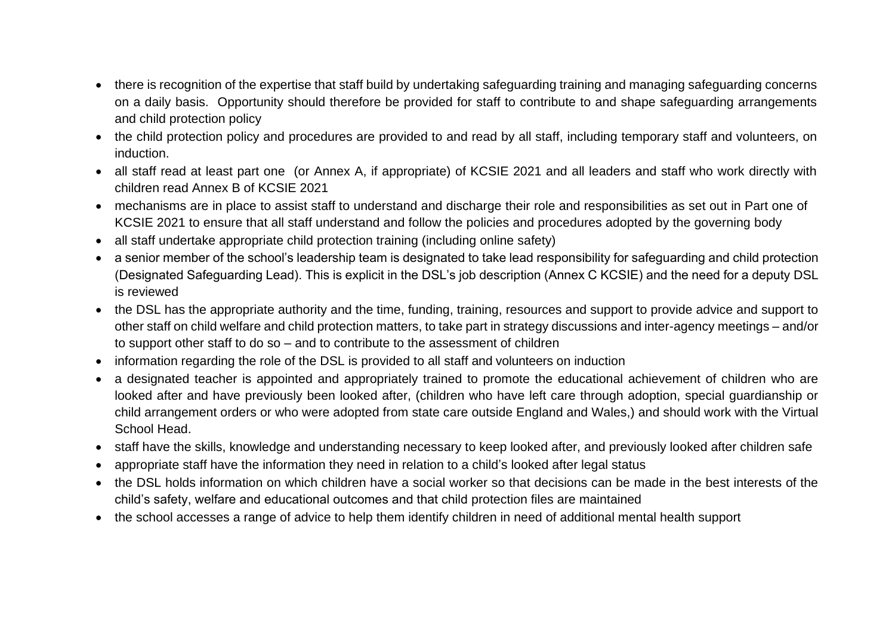- there is recognition of the expertise that staff build by undertaking safeguarding training and managing safeguarding concerns on a daily basis. Opportunity should therefore be provided for staff to contribute to and shape safeguarding arrangements and child protection policy
- the child protection policy and procedures are provided to and read by all staff, including temporary staff and volunteers, on induction.
- all staff read at least part one (or Annex A, if appropriate) of KCSIE 2021 and all leaders and staff who work directly with children read Annex B of KCSIE 2021
- mechanisms are in place to assist staff to understand and discharge their role and responsibilities as set out in Part one of KCSIE 2021 to ensure that all staff understand and follow the policies and procedures adopted by the governing body
- all staff undertake appropriate child protection training (including online safety)
- a senior member of the school's leadership team is designated to take lead responsibility for safeguarding and child protection (Designated Safeguarding Lead). This is explicit in the DSL's job description (Annex C KCSIE) and the need for a deputy DSL is reviewed
- the DSL has the appropriate authority and the time, funding, training, resources and support to provide advice and support to other staff on child welfare and child protection matters, to take part in strategy discussions and inter-agency meetings – and/or to support other staff to do so – and to contribute to the assessment of children
- information regarding the role of the DSL is provided to all staff and volunteers on induction
- a designated teacher is appointed and appropriately trained to promote the educational achievement of children who are looked after and have previously been looked after, (children who have left care through adoption, special guardianship or child arrangement orders or who were adopted from state care outside England and Wales,) and should work with the Virtual School Head.
- staff have the skills, knowledge and understanding necessary to keep looked after, and previously looked after children safe
- appropriate staff have the information they need in relation to a child's looked after legal status
- the DSL holds information on which children have a social worker so that decisions can be made in the best interests of the child's safety, welfare and educational outcomes and that child protection files are maintained
- the school accesses a range of advice to help them identify children in need of additional mental health support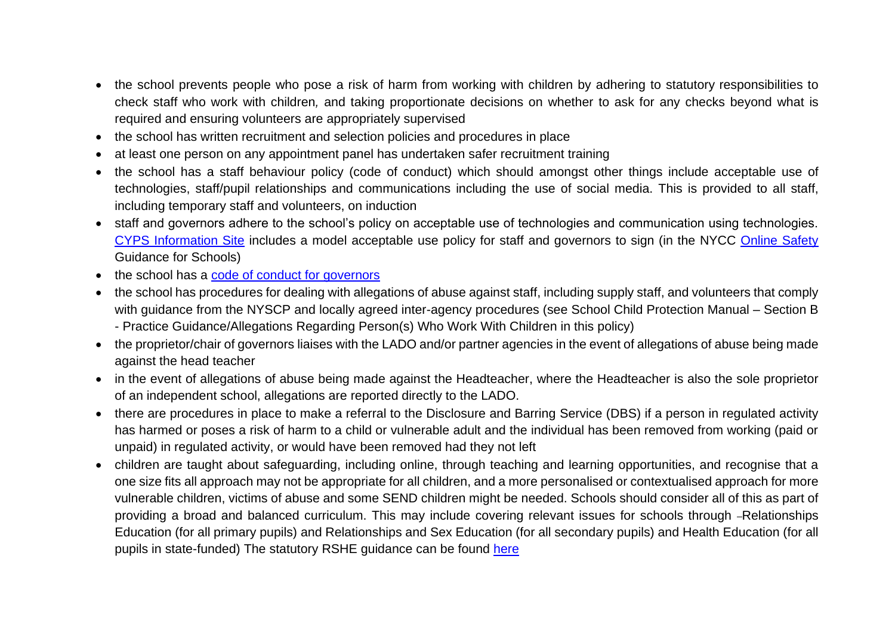- the school prevents people who pose a risk of harm from working with children by adhering to statutory responsibilities to check staff who work with children*,* and taking proportionate decisions on whether to ask for any checks beyond what is required and ensuring volunteers are appropriately supervised
- the school has written recruitment and selection policies and procedures in place
- at least one person on any appointment panel has undertaken safer recruitment training
- the school has a staff behaviour policy (code of conduct) which should amongst other things include acceptable use of technologies, staff/pupil relationships and communications including the use of social media. This is provided to all staff, including temporary staff and volunteers, on induction
- staff and governors adhere to the school's policy on acceptable use of technologies and communication using technologies. [CYPS Information Site](https://cyps.northyorks.gov.uk/health-wellbeing-pshe) includes a model acceptable use policy for staff and governors to sign (in the NYCC [Online Safety](https://cyps.northyorks.gov.uk/online-safety) Guidance for Schools)
- the school has a [code of conduct for governors](https://www.nga.org.uk/codeofconduct2017)
- the school has procedures for dealing with allegations of abuse against staff, including supply staff, and volunteers that comply with guidance from the NYSCP and locally agreed inter-agency procedures (see School Child Protection Manual – Section B - Practice Guidance/Allegations Regarding Person(s) Who Work With Children in this policy)
- the proprietor/chair of governors liaises with the LADO and/or partner agencies in the event of allegations of abuse being made against the head teacher
- in the event of allegations of abuse being made against the Headteacher, where the Headteacher is also the sole proprietor of an independent school, allegations are reported directly to the LADO.
- there are procedures in place to make a referral to the Disclosure and Barring Service (DBS) if a person in regulated activity has harmed or poses a risk of harm to a child or vulnerable adult and the individual has been removed from working (paid or unpaid) in regulated activity, or would have been removed had they not left
- children are taught about safeguarding, including online, through teaching and learning opportunities, and recognise that a one size fits all approach may not be appropriate for all children, and a more personalised or contextualised approach for more vulnerable children, victims of abuse and some SEND children might be needed. Schools should consider all of this as part of providing a broad and balanced curriculum. This may include covering relevant issues for schools through -Relationships Education (for all primary pupils) and Relationships and Sex Education (for all secondary pupils) and Health Education (for all pupils in state-funded) The statutory RSHE guidance can be found [here](https://www.gov.uk/government/publications/relationships-education-relationships-and-sex-education-rse-and-health-education)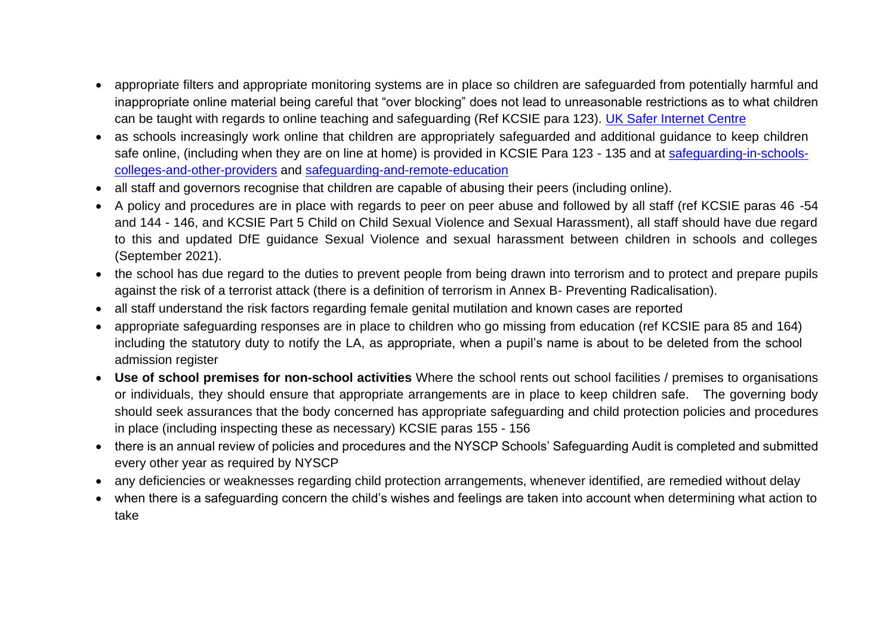- appropriate filters and appropriate monitoring systems are in place so children are safeguarded from potentially harmful and inappropriate online material being careful that "over blocking" does not lead to unreasonable restrictions as to what children can be taught with regards to online teaching and safeguarding (Ref KCSIE para 123). [UK Safer Internet Centre](https://www.saferinternet.org.uk/advice-centre/teachers-and-school-staff/appropriate-filtering-and-monitoring)
- as schools increasingly work online that children are appropriately safeguarded and additional guidance to keep children safe online, (including when they are on line at home) is provided in KCSIE Para 123 - 135 and at [safeguarding-in-schools](https://www.gov.uk/government/publications/covid-19-safeguarding-in-schools-colleges-and-other-providers/coronavirus-covid-19-safeguarding-in-schools-colleges-and-other-providers)[colleges-and-other-providers](https://www.gov.uk/government/publications/covid-19-safeguarding-in-schools-colleges-and-other-providers/coronavirus-covid-19-safeguarding-in-schools-colleges-and-other-providers) and [safeguarding-and-remote-education](https://www.gov.uk/guidance/safeguarding-and-remote-education-during-coronavirus-covid-19)
- all staff and governors recognise that children are capable of abusing their peers (including online).
- A policy and procedures are in place with regards to peer on peer abuse and followed by all staff (ref KCSIE paras 46 -54 and 144 - 146, and KCSIE Part 5 Child on Child Sexual Violence and Sexual Harassment), all staff should have due regard to this and updated DfE guidance Sexual Violence and sexual harassment between children in schools and colleges (September 2021).
- the school has due regard to the duties to prevent people from being drawn into terrorism and to protect and prepare pupils against the risk of a terrorist attack (there is a definition of terrorism in Annex B- Preventing Radicalisation).
- all staff understand the risk factors regarding female genital mutilation and known cases are reported
- appropriate safeguarding responses are in place to children who go missing from education (ref KCSIE para 85 and 164) including the statutory duty to notify the LA, as appropriate, when a pupil's name is about to be deleted from the school admission register
- **Use of school premises for non-school activities** Where the school rents out school facilities / premises to organisations or individuals, they should ensure that appropriate arrangements are in place to keep children safe. The governing body should seek assurances that the body concerned has appropriate safeguarding and child protection policies and procedures in place (including inspecting these as necessary) KCSIE paras 155 - 156
- there is an annual review of policies and procedures and the NYSCP Schools' Safeguarding Audit is completed and submitted every other year as required by NYSCP
- any deficiencies or weaknesses regarding child protection arrangements, whenever identified, are remedied without delay
- when there is a safeguarding concern the child's wishes and feelings are taken into account when determining what action to take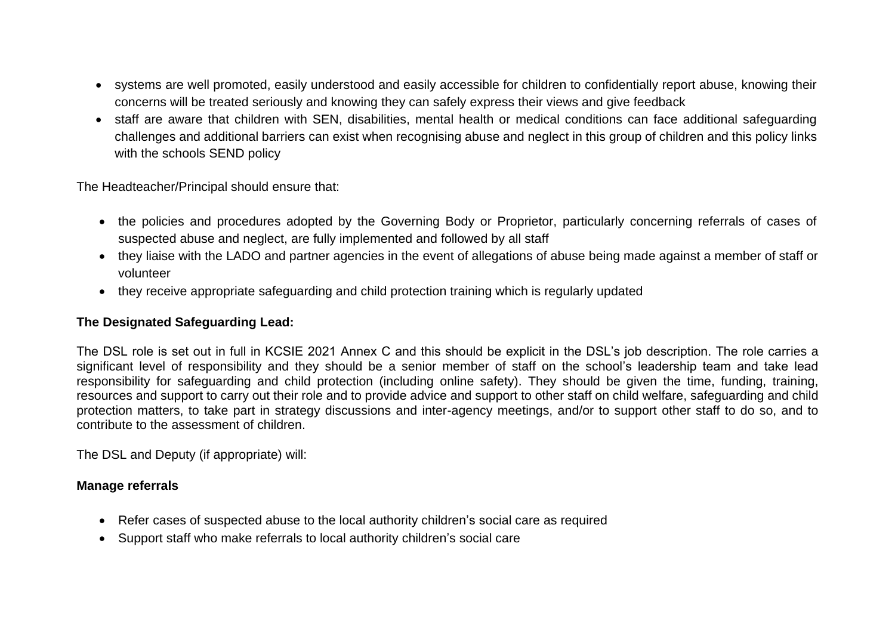- systems are well promoted, easily understood and easily accessible for children to confidentially report abuse, knowing their concerns will be treated seriously and knowing they can safely express their views and give feedback
- staff are aware that children with SEN, disabilities, mental health or medical conditions can face additional safeguarding challenges and additional barriers can exist when recognising abuse and neglect in this group of children and this policy links with the schools SEND policy

The Headteacher/Principal should ensure that:

- the policies and procedures adopted by the Governing Body or Proprietor, particularly concerning referrals of cases of suspected abuse and neglect, are fully implemented and followed by all staff
- they liaise with the LADO and partner agencies in the event of allegations of abuse being made against a member of staff or volunteer
- they receive appropriate safeguarding and child protection training which is regularly updated

#### **The Designated Safeguarding Lead:**

The DSL role is set out in full in KCSIE 2021 Annex C and this should be explicit in the DSL's job description. The role carries a significant level of responsibility and they should be a senior member of staff on the school's leadership team and take lead responsibility for safeguarding and child protection (including online safety). They should be given the time, funding, training, resources and support to carry out their role and to provide advice and support to other staff on child welfare, safeguarding and child protection matters, to take part in strategy discussions and inter-agency meetings, and/or to support other staff to do so, and to contribute to the assessment of children.

The DSL and Deputy (if appropriate) will:

#### **Manage referrals**

- Refer cases of suspected abuse to the local authority children's social care as required
- Support staff who make referrals to local authority children's social care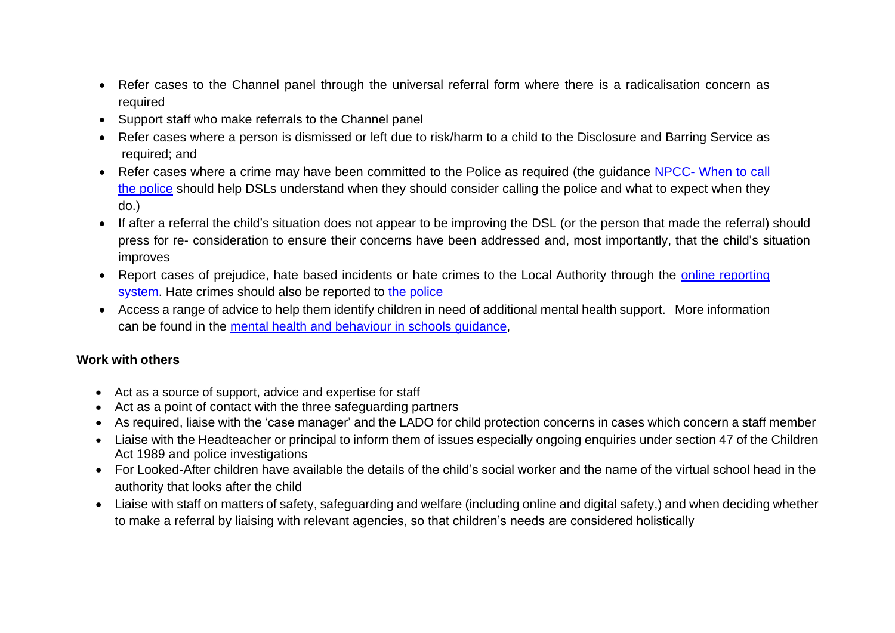- Refer cases to the Channel panel through the universal referral form where there is a radicalisation concern as required
- Support staff who make referrals to the Channel panel
- Refer cases where a person is dismissed or left due to risk/harm to a child to the Disclosure and Barring Service as required; and
- Refer cases where a crime may have been committed to the Police as required (the quidance NPCC- When to call [the police](https://www.npcc.police.uk/documents/Children%20and%20Young%20people/When%20to%20call%20the%20police%20guidance%20for%20schools%20and%20colleges.pdf) should help DSLs understand when they should consider calling the police and what to expect when they do.)
- If after a referral the child's situation does not appear to be improving the DSL (or the person that made the referral) should press for re- consideration to ensure their concerns have been addressed and, most importantly, that the child's situation improves
- Report cases of prejudice, hate based incidents or hate crimes to the Local Authority through the [online reporting](https://consult.northyorks.gov.uk/snapwebhost/s.asp?k=146952740744)  [system.](https://consult.northyorks.gov.uk/snapwebhost/s.asp?k=146952740744) Hate crimes should also be reported to [the police](http://www.report-it.org.uk/your_police_force)
- Access a range of advice to help them identify children in need of additional mental health support. More information can be found in the [mental health and behaviour in schools guidance,](https://www.gov.uk/government/publications/mental-health-and-behaviour-in-schools--2)

#### **Work with others**

- Act as a source of support, advice and expertise for staff
- Act as a point of contact with the three safeguarding partners
- As required, liaise with the 'case manager' and the LADO for child protection concerns in cases which concern a staff member
- Liaise with the Headteacher or principal to inform them of issues especially ongoing enquiries under section 47 of the Children Act 1989 and police investigations
- For Looked-After children have available the details of the child's social worker and the name of the virtual school head in the authority that looks after the child
- Liaise with staff on matters of safety, safeguarding and welfare (including online and digital safety,) and when deciding whether to make a referral by liaising with relevant agencies, so that children's needs are considered holistically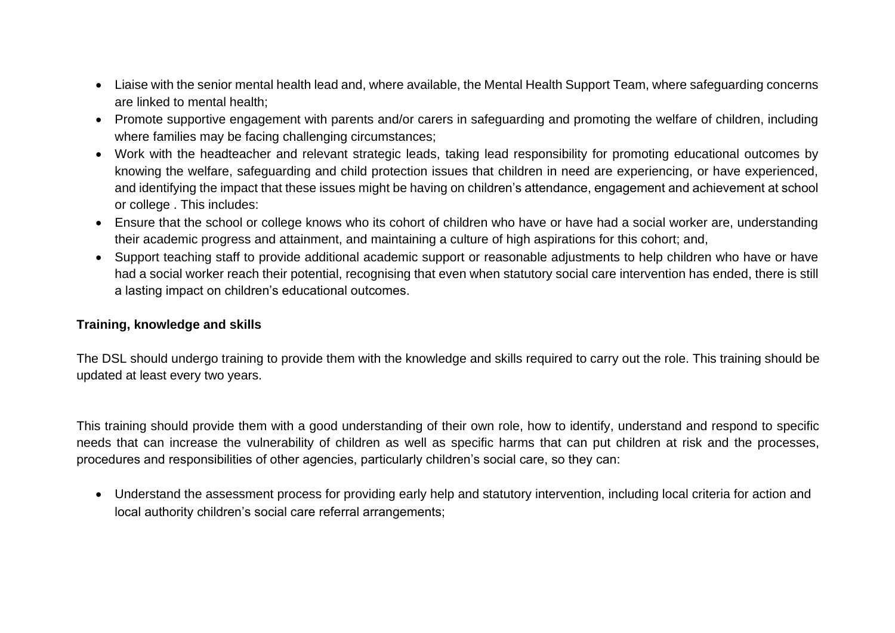- Liaise with the senior mental health lead and, where available, the Mental Health Support Team, where safeguarding concerns are linked to mental health;
- Promote supportive engagement with parents and/or carers in safeguarding and promoting the welfare of children, including where families may be facing challenging circumstances;
- Work with the headteacher and relevant strategic leads, taking lead responsibility for promoting educational outcomes by knowing the welfare, safeguarding and child protection issues that children in need are experiencing, or have experienced, and identifying the impact that these issues might be having on children's attendance, engagement and achievement at school or college . This includes:
- Ensure that the school or college knows who its cohort of children who have or have had a social worker are, understanding their academic progress and attainment, and maintaining a culture of high aspirations for this cohort; and,
- Support teaching staff to provide additional academic support or reasonable adjustments to help children who have or have had a social worker reach their potential, recognising that even when statutory social care intervention has ended, there is still a lasting impact on children's educational outcomes.

#### **Training, knowledge and skills**

The DSL should undergo training to provide them with the knowledge and skills required to carry out the role. This training should be updated at least every two years.

This training should provide them with a good understanding of their own role, how to identify, understand and respond to specific needs that can increase the vulnerability of children as well as specific harms that can put children at risk and the processes, procedures and responsibilities of other agencies, particularly children's social care, so they can:

• Understand the assessment process for providing early help and statutory intervention, including local criteria for action and local authority children's social care referral arrangements;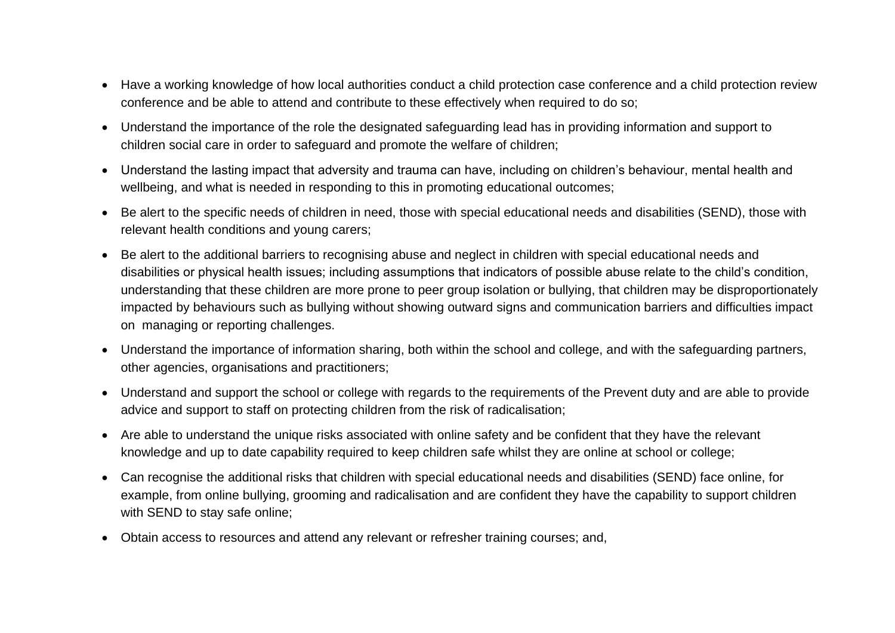- Have a working knowledge of how local authorities conduct a child protection case conference and a child protection review conference and be able to attend and contribute to these effectively when required to do so;
- Understand the importance of the role the designated safeguarding lead has in providing information and support to children social care in order to safeguard and promote the welfare of children;
- Understand the lasting impact that adversity and trauma can have, including on children's behaviour, mental health and wellbeing, and what is needed in responding to this in promoting educational outcomes;
- Be alert to the specific needs of children in need, those with special educational needs and disabilities (SEND), those with relevant health conditions and young carers;
- Be alert to the additional barriers to recognising abuse and neglect in children with special educational needs and disabilities or physical health issues; including assumptions that indicators of possible abuse relate to the child's condition, understanding that these children are more prone to peer group isolation or bullying, that children may be disproportionately impacted by behaviours such as bullying without showing outward signs and communication barriers and difficulties impact on managing or reporting challenges.
- Understand the importance of information sharing, both within the school and college, and with the safeguarding partners, other agencies, organisations and practitioners;
- Understand and support the school or college with regards to the requirements of the Prevent duty and are able to provide advice and support to staff on protecting children from the risk of radicalisation;
- Are able to understand the unique risks associated with online safety and be confident that they have the relevant knowledge and up to date capability required to keep children safe whilst they are online at school or college;
- Can recognise the additional risks that children with special educational needs and disabilities (SEND) face online, for example, from online bullying, grooming and radicalisation and are confident they have the capability to support children with SEND to stay safe online;
- Obtain access to resources and attend any relevant or refresher training courses; and,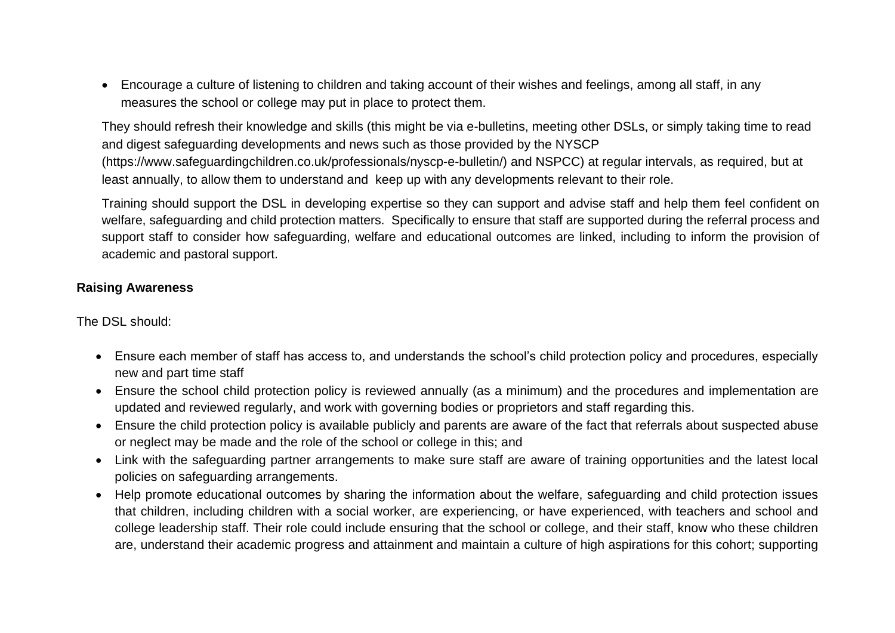• Encourage a culture of listening to children and taking account of their wishes and feelings, among all staff, in any measures the school or college may put in place to protect them.

They should refresh their knowledge and skills (this might be via e-bulletins, meeting other DSLs, or simply taking time to read and digest safeguarding developments and news such as those provided by the NYSCP (https://www.safeguardingchildren.co.uk/professionals/nyscp-e-bulletin/) and NSPCC) at regular intervals, as required, but at least annually, to allow them to understand and keep up with any developments relevant to their role.

Training should support the DSL in developing expertise so they can support and advise staff and help them feel confident on welfare, safeguarding and child protection matters. Specifically to ensure that staff are supported during the referral process and support staff to consider how safeguarding, welfare and educational outcomes are linked, including to inform the provision of academic and pastoral support.

#### **Raising Awareness**

The DSL should:

- Ensure each member of staff has access to, and understands the school's child protection policy and procedures, especially new and part time staff
- Ensure the school child protection policy is reviewed annually (as a minimum) and the procedures and implementation are updated and reviewed regularly, and work with governing bodies or proprietors and staff regarding this.
- Ensure the child protection policy is available publicly and parents are aware of the fact that referrals about suspected abuse or neglect may be made and the role of the school or college in this; and
- Link with the safeguarding partner arrangements to make sure staff are aware of training opportunities and the latest local policies on safeguarding arrangements.
- Help promote educational outcomes by sharing the information about the welfare, safeguarding and child protection issues that children, including children with a social worker, are experiencing, or have experienced, with teachers and school and college leadership staff. Their role could include ensuring that the school or college, and their staff, know who these children are, understand their academic progress and attainment and maintain a culture of high aspirations for this cohort; supporting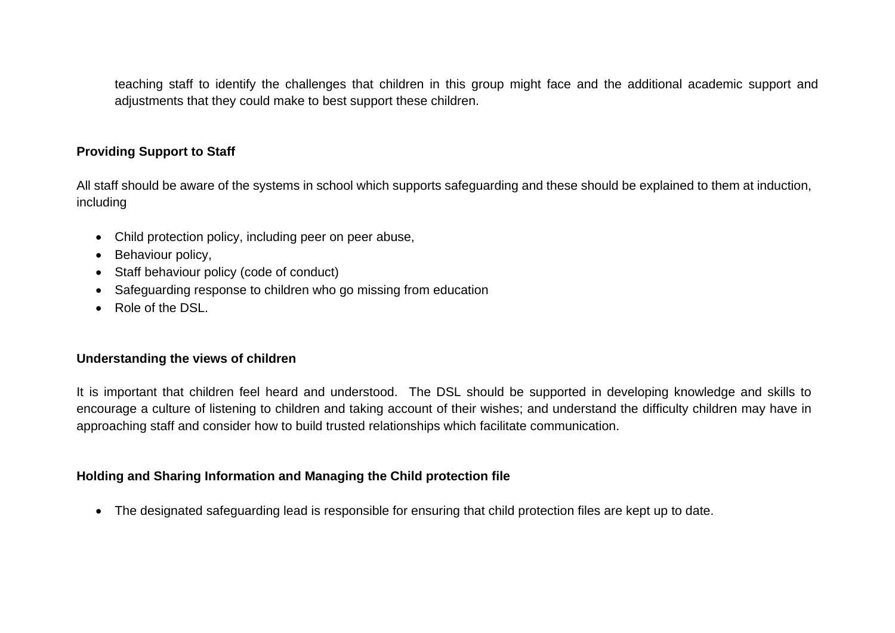teaching staff to identify the challenges that children in this group might face and the additional academic support and adjustments that they could make to best support these children.

#### **Providing Support to Staff**

All staff should be aware of the systems in school which supports safeguarding and these should be explained to them at induction, including

- Child protection policy, including peer on peer abuse,
- Behaviour policy,
- Staff behaviour policy (code of conduct)
- Safeguarding response to children who go missing from education
- Role of the DSL.

#### **Understanding the views of children**

It is important that children feel heard and understood. The DSL should be supported in developing knowledge and skills to encourage a culture of listening to children and taking account of their wishes; and understand the difficulty children may have in approaching staff and consider how to build trusted relationships which facilitate communication.

#### **Holding and Sharing Information and Managing the Child protection file**

• The designated safeguarding lead is responsible for ensuring that child protection files are kept up to date.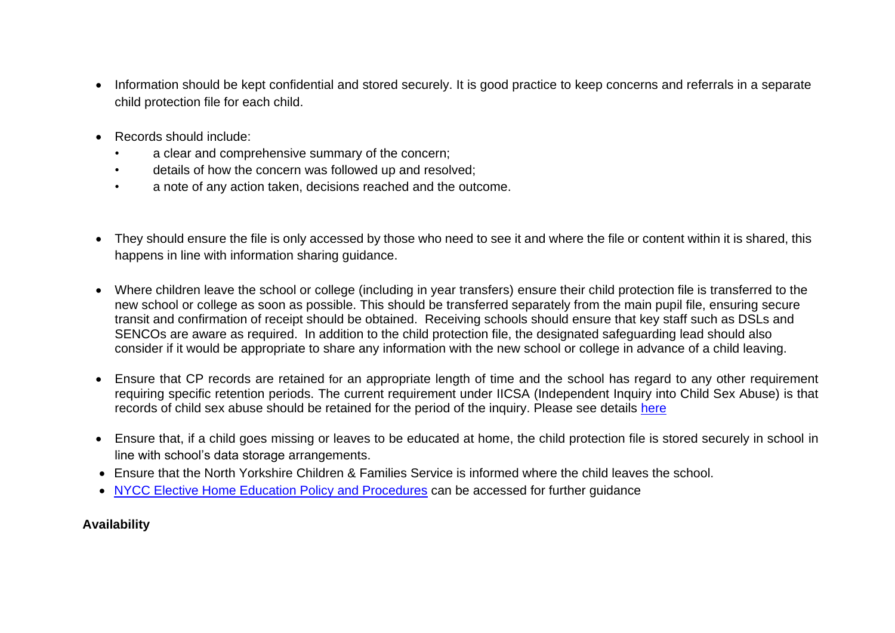- Information should be kept confidential and stored securely. It is good practice to keep concerns and referrals in a separate child protection file for each child.
- Records should include:
	- a clear and comprehensive summary of the concern;
	- details of how the concern was followed up and resolved;
	- a note of any action taken, decisions reached and the outcome.
- They should ensure the file is only accessed by those who need to see it and where the file or content within it is shared, this happens in line with information sharing guidance.
- Where children leave the school or college (including in year transfers) ensure their child protection file is transferred to the new school or college as soon as possible. This should be transferred separately from the main pupil file, ensuring secure transit and confirmation of receipt should be obtained. Receiving schools should ensure that key staff such as DSLs and SENCOs are aware as required. In addition to the child protection file, the designated safeguarding lead should also consider if it would be appropriate to share any information with the new school or college in advance of a child leaving.
- Ensure that CP records are retained for an appropriate length of time and the school has regard to any other requirement requiring specific retention periods. The current requirement under IICSA (Independent Inquiry into Child Sex Abuse) is that records of child sex abuse should be retained for the period of the inquiry. Please see details [here](https://www.iicsa.org.uk/letter-to-local-authority-ceos)
- Ensure that, if a child goes missing or leaves to be educated at home, the child protection file is stored securely in school in line with school's data storage arrangements.
- Ensure that the North Yorkshire Children & Families Service is informed where the child leaves the school.
- [NYCC Elective Home Education Policy and Procedures](https://cyps.northyorks.gov.uk/elective-home-education) can be accessed for further quidance

**Availability**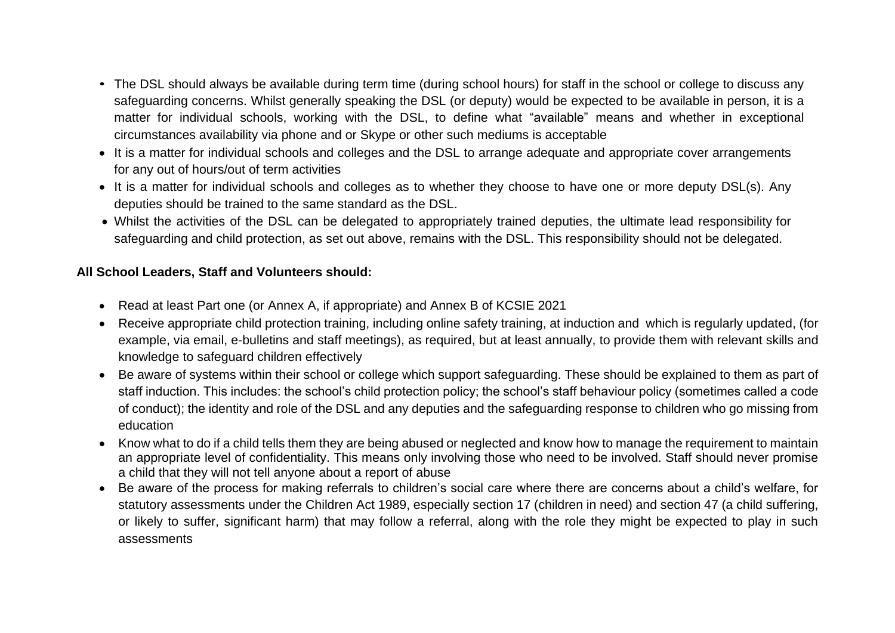- The DSL should always be available during term time (during school hours) for staff in the school or college to discuss any safeguarding concerns. Whilst generally speaking the DSL (or deputy) would be expected to be available in person, it is a matter for individual schools, working with the DSL, to define what "available" means and whether in exceptional circumstances availability via phone and or Skype or other such mediums is acceptable
- It is a matter for individual schools and colleges and the DSL to arrange adequate and appropriate cover arrangements for any out of hours/out of term activities
- It is a matter for individual schools and colleges as to whether they choose to have one or more deputy DSL(s). Any deputies should be trained to the same standard as the DSL.
- Whilst the activities of the DSL can be delegated to appropriately trained deputies, the ultimate lead responsibility for safeguarding and child protection, as set out above, remains with the DSL. This responsibility should not be delegated.

#### **All School Leaders, Staff and Volunteers should:**

- Read at least Part one (or Annex A, if appropriate) and Annex B of KCSIE 2021
- Receive appropriate child protection training, including online safety training, at induction and which is regularly updated, (for example, via email, e-bulletins and staff meetings), as required, but at least annually, to provide them with relevant skills and knowledge to safeguard children effectively
- Be aware of systems within their school or college which support safeguarding. These should be explained to them as part of staff induction. This includes: the school's child protection policy; the school's staff behaviour policy (sometimes called a code of conduct); the identity and role of the DSL and any deputies and the safeguarding response to children who go missing from education
- Know what to do if a child tells them they are being abused or neglected and know how to manage the requirement to maintain an appropriate level of confidentiality. This means only involving those who need to be involved. Staff should never promise a child that they will not tell anyone about a report of abuse
- Be aware of the process for making referrals to children's social care where there are concerns about a child's welfare, for statutory assessments under the Children Act 1989, especially section 17 (children in need) and section 47 (a child suffering, or likely to suffer, significant harm) that may follow a referral, along with the role they might be expected to play in such assessments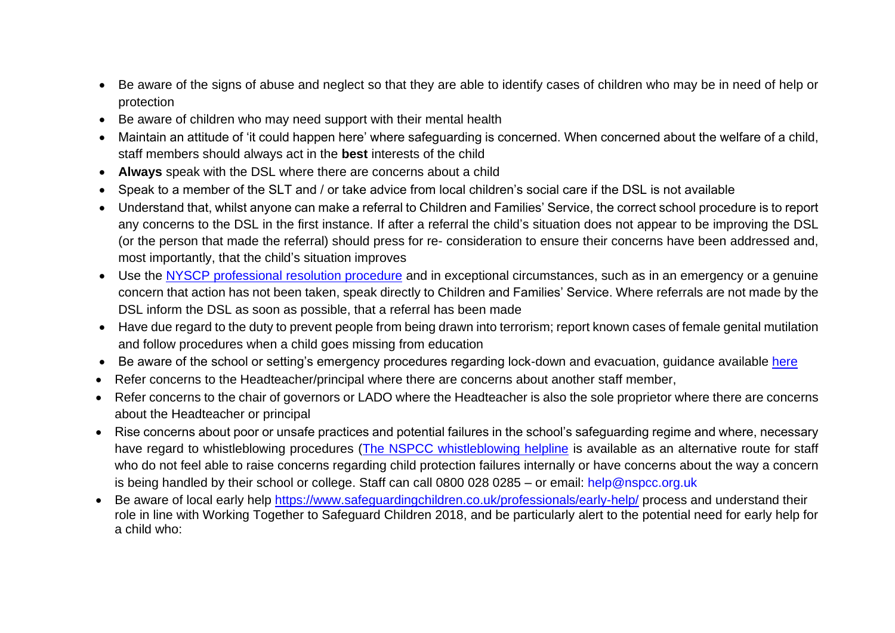- Be aware of the signs of abuse and neglect so that they are able to identify cases of children who may be in need of help or protection
- Be aware of children who may need support with their mental health
- Maintain an attitude of 'it could happen here' where safeguarding is concerned. When concerned about the welfare of a child, staff members should always act in the **best** interests of the child
- **Always** speak with the DSL where there are concerns about a child
- Speak to a member of the SLT and / or take advice from local children's social care if the DSL is not available
- Understand that, whilst anyone can make a referral to Children and Families' Service, the correct school procedure is to report any concerns to the DSL in the first instance. If after a referral the child's situation does not appear to be improving the DSL (or the person that made the referral) should press for re- consideration to ensure their concerns have been addressed and, most importantly, that the child's situation improves
- Use the [NYSCP professional resolution procedure](https://www.safeguardingchildren.co.uk/professionals/practice-guidance/) and in exceptional circumstances, such as in an emergency or a genuine concern that action has not been taken, speak directly to Children and Families' Service. Where referrals are not made by the DSL inform the DSL as soon as possible, that a referral has been made
- Have due regard to the duty to prevent people from being drawn into terrorism; report known cases of female genital mutilation and follow procedures when a child goes missing from education
- Be aware of the school or setting's emergency procedures regarding lock-down and evacuation, quidance available [here](https://cyps.northyorks.gov.uk/school-emergency-response)
- Refer concerns to the Headteacher/principal where there are concerns about another staff member,
- Refer concerns to the chair of governors or LADO where the Headteacher is also the sole proprietor where there are concerns about the Headteacher or principal
- Rise concerns about poor or unsafe practices and potential failures in the school's safeguarding regime and where, necessary have regard to whistleblowing procedures [\(The NSPCC whistleblowing helpline](https://www.nspcc.org.uk/what-you-can-do/report-abuse/dedicated-helplines/whistleblowing-advice-line/) is available as an alternative route for staff who do not feel able to raise concerns regarding child protection failures internally or have concerns about the way a concern is being handled by their school or college. Staff can call 0800 028 0285 – or email: [help@nspcc.org.uk](mailto:help@nspcc.org.uk)
- Be aware of local early help<https://www.safeguardingchildren.co.uk/professionals/early-help/> process and understand their role in line with Working Together to Safeguard Children 2018, and be particularly alert to the potential need for early help for a child who: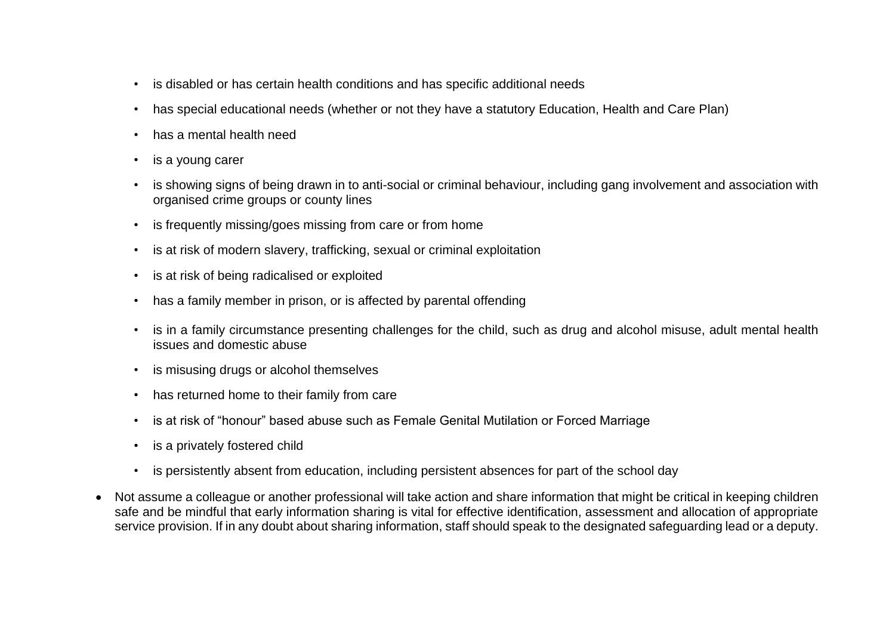- is disabled or has certain health conditions and has specific additional needs
- has special educational needs (whether or not they have a statutory Education, Health and Care Plan)
- has a mental health need
- is a young carer
- is showing signs of being drawn in to anti-social or criminal behaviour, including gang involvement and association with organised crime groups or county lines
- is frequently missing/goes missing from care or from home
- is at risk of modern slavery, trafficking, sexual or criminal exploitation
- is at risk of being radicalised or exploited
- has a family member in prison, or is affected by parental offending
- is in a family circumstance presenting challenges for the child, such as drug and alcohol misuse, adult mental health issues and domestic abuse
- is misusing drugs or alcohol themselves
- has returned home to their family from care
- is at risk of "honour" based abuse such as Female Genital Mutilation or Forced Marriage
- is a privately fostered child
- is persistently absent from education, including persistent absences for part of the school day
- Not assume a colleague or another professional will take action and share information that might be critical in keeping children safe and be mindful that early information sharing is vital for effective identification, assessment and allocation of appropriate service provision. If in any doubt about sharing information, staff should speak to the designated safeguarding lead or a deputy.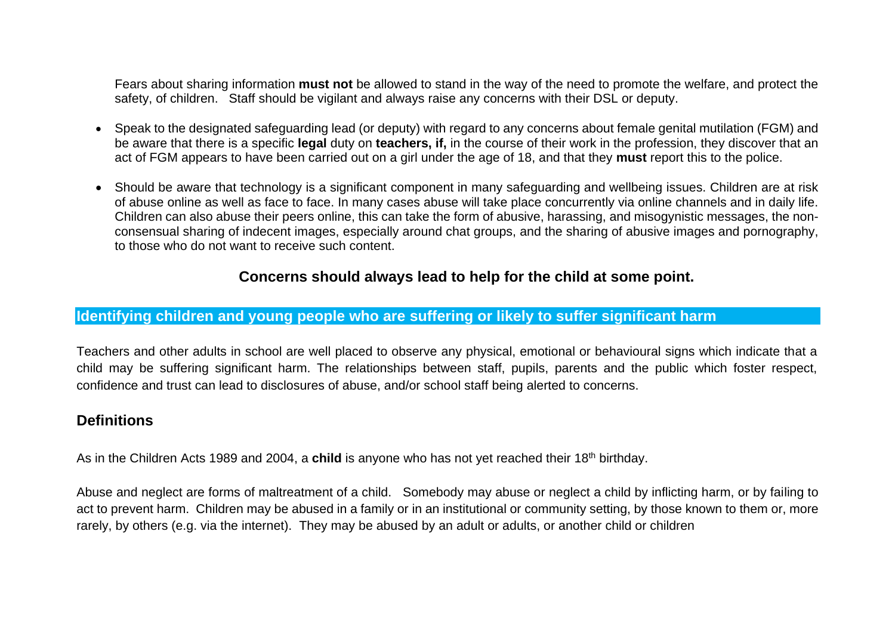Fears about sharing information **must not** be allowed to stand in the way of the need to promote the welfare, and protect the safety, of children. Staff should be vigilant and always raise any concerns with their DSL or deputy.

- Speak to the designated safeguarding lead (or deputy) with regard to any concerns about female genital mutilation (FGM) and be aware that there is a specific **legal** duty on **teachers, if,** in the course of their work in the profession, they discover that an act of FGM appears to have been carried out on a girl under the age of 18, and that they **must** report this to the police.
- Should be aware that technology is a significant component in many safeguarding and wellbeing issues. Children are at risk of abuse online as well as face to face. In many cases abuse will take place concurrently via online channels and in daily life. Children can also abuse their peers online, this can take the form of abusive, harassing, and misogynistic messages, the nonconsensual sharing of indecent images, especially around chat groups, and the sharing of abusive images and pornography, to those who do not want to receive such content.

## **Concerns should always lead to help for the child at some point.**

#### <span id="page-19-0"></span>**Identifying children and young people who are suffering or likely to suffer significant harm**

Teachers and other adults in school are well placed to observe any physical, emotional or behavioural signs which indicate that a child may be suffering significant harm. The relationships between staff, pupils, parents and the public which foster respect, confidence and trust can lead to disclosures of abuse, and/or school staff being alerted to concerns.

#### **Definitions**

As in the Children Acts 1989 and 2004, a **child** is anyone who has not yet reached their 18th birthday.

Abuse and neglect are forms of maltreatment of a child. Somebody may abuse or neglect a child by inflicting harm, or by failing to act to prevent harm. Children may be abused in a family or in an institutional or community setting, by those known to them or, more rarely, by others (e.g. via the internet). They may be abused by an adult or adults, or another child or children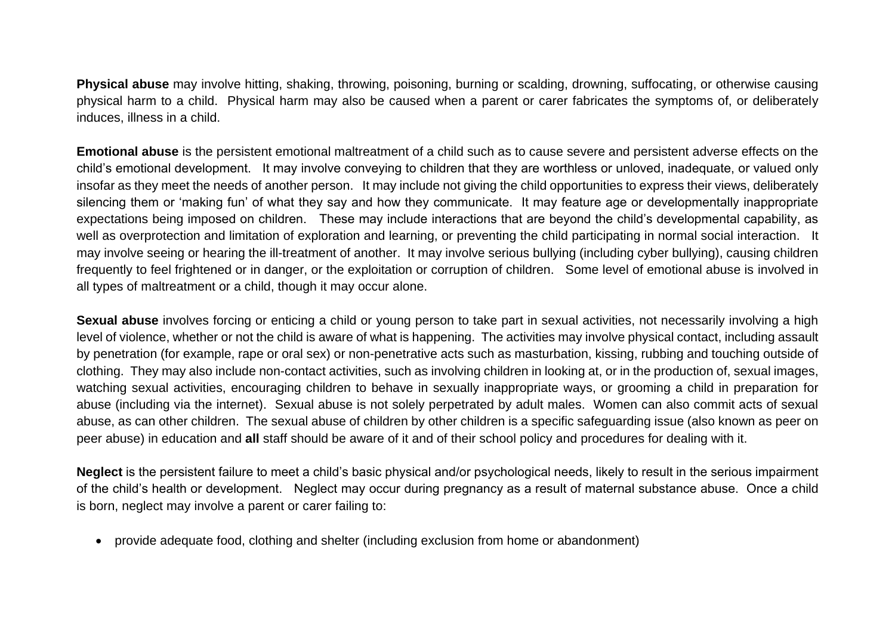**Physical abuse** may involve hitting, shaking, throwing, poisoning, burning or scalding, drowning, suffocating, or otherwise causing physical harm to a child. Physical harm may also be caused when a parent or carer fabricates the symptoms of, or deliberately induces, illness in a child.

**Emotional abuse** is the persistent emotional maltreatment of a child such as to cause severe and persistent adverse effects on the child's emotional development. It may involve conveying to children that they are worthless or unloved, inadequate, or valued only insofar as they meet the needs of another person. It may include not giving the child opportunities to express their views, deliberately silencing them or 'making fun' of what they say and how they communicate. It may feature age or developmentally inappropriate expectations being imposed on children. These may include interactions that are beyond the child's developmental capability, as well as overprotection and limitation of exploration and learning, or preventing the child participating in normal social interaction. It may involve seeing or hearing the ill-treatment of another. It may involve serious bullying (including cyber bullying), causing children frequently to feel frightened or in danger, or the exploitation or corruption of children. Some level of emotional abuse is involved in all types of maltreatment or a child, though it may occur alone.

**Sexual abuse** involves forcing or enticing a child or young person to take part in sexual activities, not necessarily involving a high level of violence, whether or not the child is aware of what is happening. The activities may involve physical contact, including assault by penetration (for example, rape or oral sex) or non-penetrative acts such as masturbation, kissing, rubbing and touching outside of clothing. They may also include non-contact activities, such as involving children in looking at, or in the production of, sexual images, watching sexual activities, encouraging children to behave in sexually inappropriate ways, or grooming a child in preparation for abuse (including via the internet). Sexual abuse is not solely perpetrated by adult males. Women can also commit acts of sexual abuse, as can other children. The sexual abuse of children by other children is a specific safeguarding issue (also known as peer on peer abuse) in education and **all** staff should be aware of it and of their school policy and procedures for dealing with it.

**Neglect** is the persistent failure to meet a child's basic physical and/or psychological needs, likely to result in the serious impairment of the child's health or development. Neglect may occur during pregnancy as a result of maternal substance abuse. Once a child is born, neglect may involve a parent or carer failing to:

• provide adequate food, clothing and shelter (including exclusion from home or abandonment)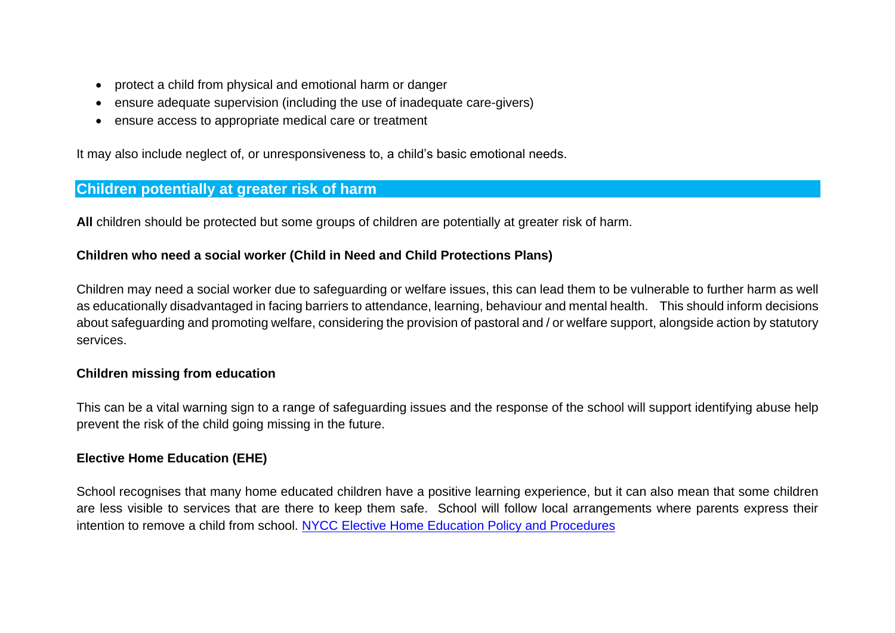- protect a child from physical and emotional harm or danger
- ensure adequate supervision (including the use of inadequate care-givers)
- ensure access to appropriate medical care or treatment

It may also include neglect of, or unresponsiveness to, a child's basic emotional needs.

### <span id="page-21-0"></span>**Children potentially at greater risk of harm**

**All** children should be protected but some groups of children are potentially at greater risk of harm.

#### **Children who need a social worker (Child in Need and Child Protections Plans)**

Children may need a social worker due to safeguarding or welfare issues, this can lead them to be vulnerable to further harm as well as educationally disadvantaged in facing barriers to attendance, learning, behaviour and mental health. This should inform decisions about safeguarding and promoting welfare, considering the provision of pastoral and / or welfare support, alongside action by statutory services.

#### **Children missing from education**

This can be a vital warning sign to a range of safeguarding issues and the response of the school will support identifying abuse help prevent the risk of the child going missing in the future.

#### **Elective Home Education (EHE)**

School recognises that many home educated children have a positive learning experience, but it can also mean that some children are less visible to services that are there to keep them safe. School will follow local arrangements where parents express their intention to remove a child from school. [NYCC Elective Home Education Policy and Procedures](https://cyps.northyorks.gov.uk/elective-home-education)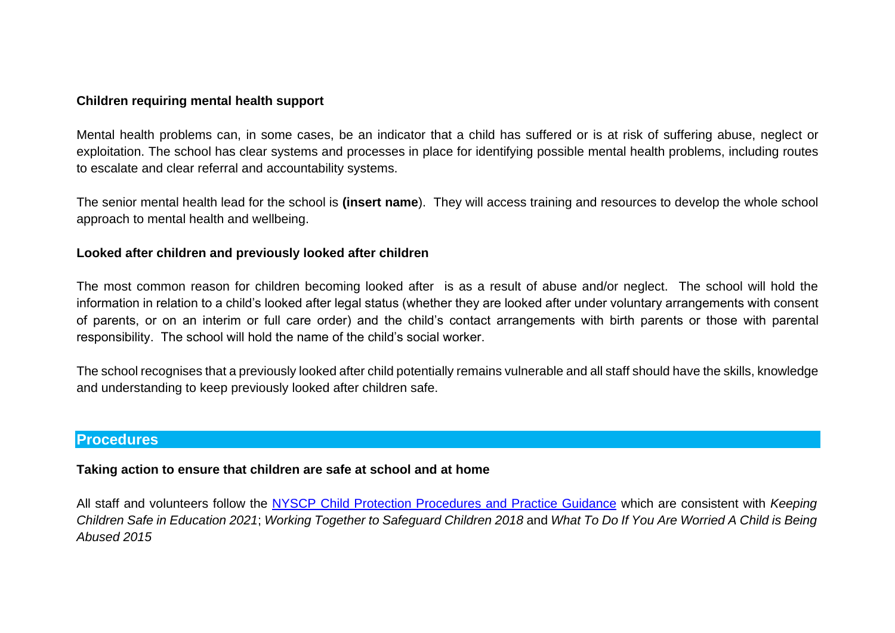#### **Children requiring mental health support**

Mental health problems can, in some cases, be an indicator that a child has suffered or is at risk of suffering abuse, neglect or exploitation. The school has clear systems and processes in place for identifying possible mental health problems, including routes to escalate and clear referral and accountability systems.

The senior mental health lead for the school is **(insert name**). They will access training and resources to develop the whole school approach to mental health and wellbeing.

#### **Looked after children and previously looked after children**

The most common reason for children becoming looked after is as a result of abuse and/or neglect. The school will hold the information in relation to a child's looked after legal status (whether they are looked after under voluntary arrangements with consent of parents, or on an interim or full care order) and the child's contact arrangements with birth parents or those with parental responsibility. The school will hold the name of the child's social worker.

The school recognises that a previously looked after child potentially remains vulnerable and all staff should have the skills, knowledge and understanding to keep previously looked after children safe.

#### <span id="page-22-0"></span>**Procedures**

#### **Taking action to ensure that children are safe at school and at home**

All staff and volunteers follow the [NYSCP Child Protection Procedures and Practice Guidance](http://www.safeguardingchildren.co.uk/) which are consistent with *Keeping Children Safe in Education 2021*; *Working Together to Safeguard Children 2018* and *What To Do If You Are Worried A Child is Being Abused 2015*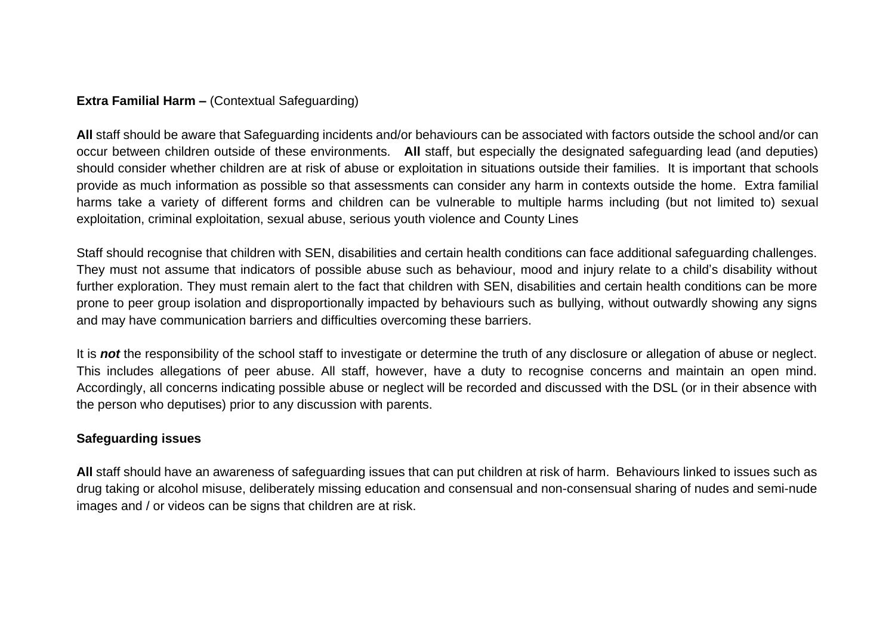## **Extra Familial Harm –** (Contextual Safeguarding)

**All** staff should be aware that Safeguarding incidents and/or behaviours can be associated with factors outside the school and/or can occur between children outside of these environments. **All** staff, but especially the designated safeguarding lead (and deputies) should consider whether children are at risk of abuse or exploitation in situations outside their families. It is important that schools provide as much information as possible so that assessments can consider any harm in contexts outside the home. Extra familial harms take a variety of different forms and children can be vulnerable to multiple harms including (but not limited to) sexual exploitation, criminal exploitation, sexual abuse, serious youth violence and County Lines

Staff should recognise that children with SEN, disabilities and certain health conditions can face additional safeguarding challenges. They must not assume that indicators of possible abuse such as behaviour, mood and injury relate to a child's disability without further exploration. They must remain alert to the fact that children with SEN, disabilities and certain health conditions can be more prone to peer group isolation and disproportionally impacted by behaviours such as bullying, without outwardly showing any signs and may have communication barriers and difficulties overcoming these barriers.

It is *not* the responsibility of the school staff to investigate or determine the truth of any disclosure or allegation of abuse or neglect. This includes allegations of peer abuse. All staff, however, have a duty to recognise concerns and maintain an open mind. Accordingly, all concerns indicating possible abuse or neglect will be recorded and discussed with the DSL (or in their absence with the person who deputises) prior to any discussion with parents.

## **Safeguarding issues**

**All** staff should have an awareness of safeguarding issues that can put children at risk of harm. Behaviours linked to issues such as drug taking or alcohol misuse, deliberately missing education and consensual and non-consensual sharing of nudes and semi-nude images and / or videos can be signs that children are at risk.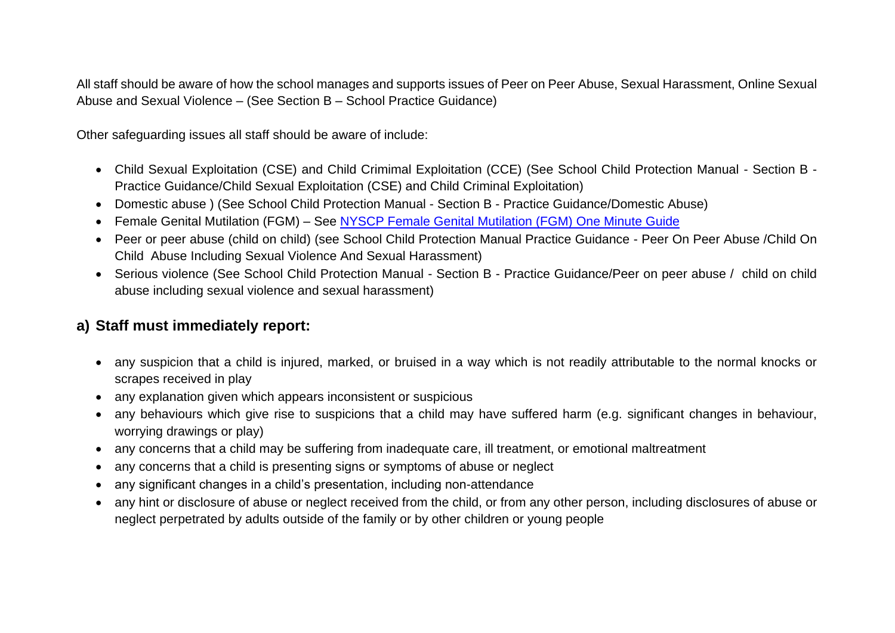All staff should be aware of how the school manages and supports issues of Peer on Peer Abuse, Sexual Harassment, Online Sexual Abuse and Sexual Violence – (See Section B – School Practice Guidance)

Other safeguarding issues all staff should be aware of include:

- Child Sexual Exploitation (CSE) and Child Crimimal Exploitation (CCE) (See School Child Protection Manual Section B Practice Guidance/Child Sexual Exploitation (CSE) and Child Criminal Exploitation)
- Domestic abuse ) (See School Child Protection Manual Section B Practice Guidance/Domestic Abuse)
- Female Genital Mutilation (FGM) See [NYSCP Female Genital Mutilation \(FGM\) One Minute Guide](https://www.safeguardingchildren.co.uk/professionals/one-minute-guides/notification-of-female-genital-mutilation-fgm-incidents/)
- Peer or peer abuse (child on child) (see School Child Protection Manual Practice Guidance Peer On Peer Abuse /Child On Child Abuse Including Sexual Violence And Sexual Harassment)
- Serious violence (See School Child Protection Manual Section B Practice Guidance/Peer on peer abuse / child on child abuse including sexual violence and sexual harassment)

## **a) Staff must immediately report:**

- any suspicion that a child is injured, marked, or bruised in a way which is not readily attributable to the normal knocks or scrapes received in play
- any explanation given which appears inconsistent or suspicious
- any behaviours which give rise to suspicions that a child may have suffered harm (e.g. significant changes in behaviour, worrying drawings or play)
- any concerns that a child may be suffering from inadequate care, ill treatment, or emotional maltreatment
- any concerns that a child is presenting signs or symptoms of abuse or neglect
- any significant changes in a child's presentation, including non-attendance
- any hint or disclosure of abuse or neglect received from the child, or from any other person, including disclosures of abuse or neglect perpetrated by adults outside of the family or by other children or young people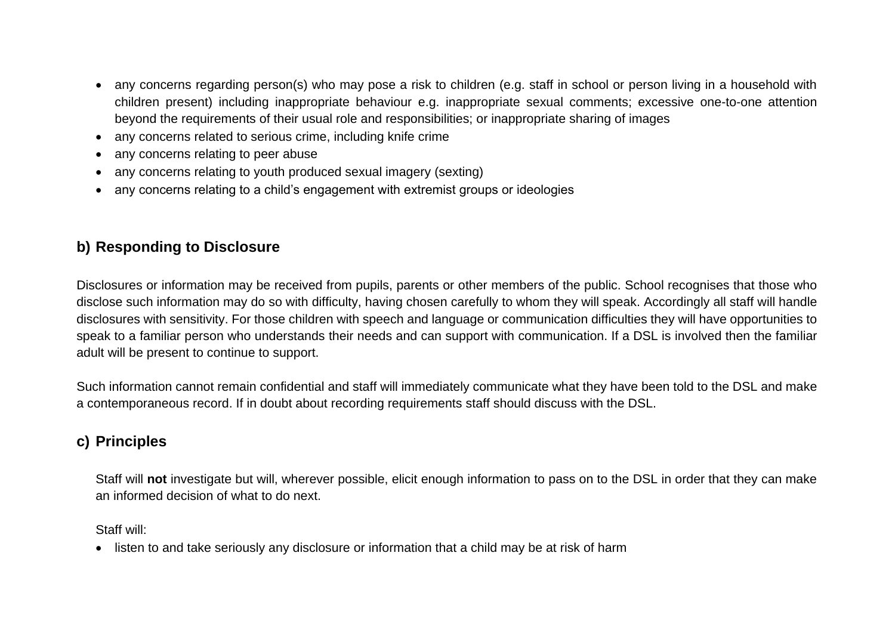- any concerns regarding person(s) who may pose a risk to children (e.g. staff in school or person living in a household with children present) including inappropriate behaviour e.g. inappropriate sexual comments; excessive one-to-one attention beyond the requirements of their usual role and responsibilities; or inappropriate sharing of images
- any concerns related to serious crime, including knife crime
- any concerns relating to peer abuse
- any concerns relating to youth produced sexual imagery (sexting)
- any concerns relating to a child's engagement with extremist groups or ideologies

## **b) Responding to Disclosure**

Disclosures or information may be received from pupils, parents or other members of the public. School recognises that those who disclose such information may do so with difficulty, having chosen carefully to whom they will speak. Accordingly all staff will handle disclosures with sensitivity. For those children with speech and language or communication difficulties they will have opportunities to speak to a familiar person who understands their needs and can support with communication. If a DSL is involved then the familiar adult will be present to continue to support.

Such information cannot remain confidential and staff will immediately communicate what they have been told to the DSL and make a contemporaneous record. If in doubt about recording requirements staff should discuss with the DSL.

## **c) Principles**

Staff will **not** investigate but will, wherever possible, elicit enough information to pass on to the DSL in order that they can make an informed decision of what to do next.

Staff will:

• listen to and take seriously any disclosure or information that a child may be at risk of harm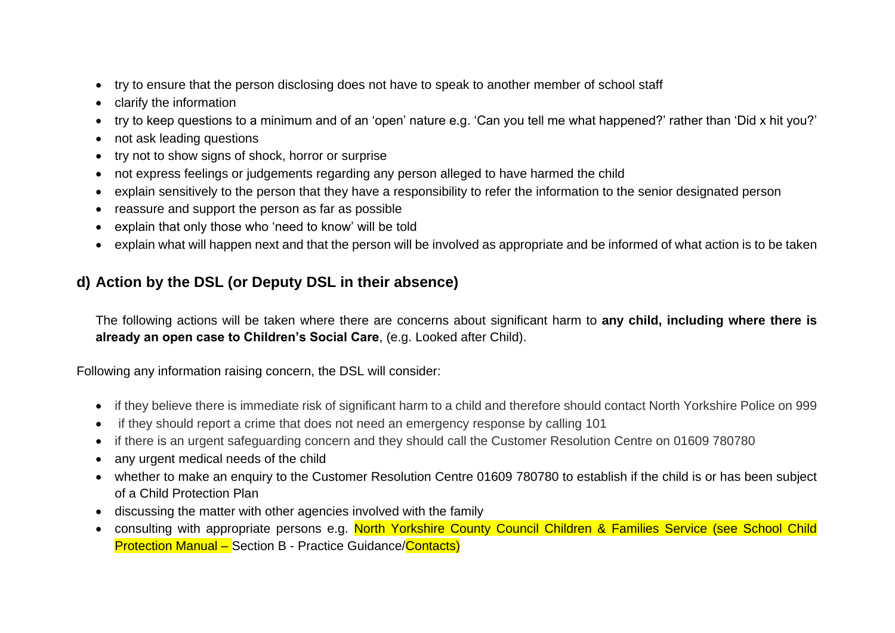- try to ensure that the person disclosing does not have to speak to another member of school staff
- clarify the information
- try to keep questions to a minimum and of an 'open' nature e.g. 'Can you tell me what happened?' rather than 'Did x hit you?'
- not ask leading questions
- try not to show signs of shock, horror or surprise
- not express feelings or judgements regarding any person alleged to have harmed the child
- explain sensitively to the person that they have a responsibility to refer the information to the senior designated person
- reassure and support the person as far as possible
- explain that only those who 'need to know' will be told
- explain what will happen next and that the person will be involved as appropriate and be informed of what action is to be taken

## **d) Action by the DSL (or Deputy DSL in their absence)**

The following actions will be taken where there are concerns about significant harm to **any child, including where there is already an open case to Children's Social Care**, (e.g. Looked after Child).

Following any information raising concern, the DSL will consider:

- if they believe there is immediate risk of significant harm to a child and therefore should contact North Yorkshire Police on 999
- if they should report a crime that does not need an emergency response by calling 101
- if there is an urgent safeguarding concern and they should call the Customer Resolution Centre on 01609 780780
- any urgent medical needs of the child
- whether to make an enquiry to the Customer Resolution Centre 01609 780780 to establish if the child is or has been subject of a Child Protection Plan
- discussing the matter with other agencies involved with the family
- consulting with appropriate persons e.g. North Yorkshire County Council Children & Families Service (see School Child Protection Manual – Section B - Practice Guidance/Contacts)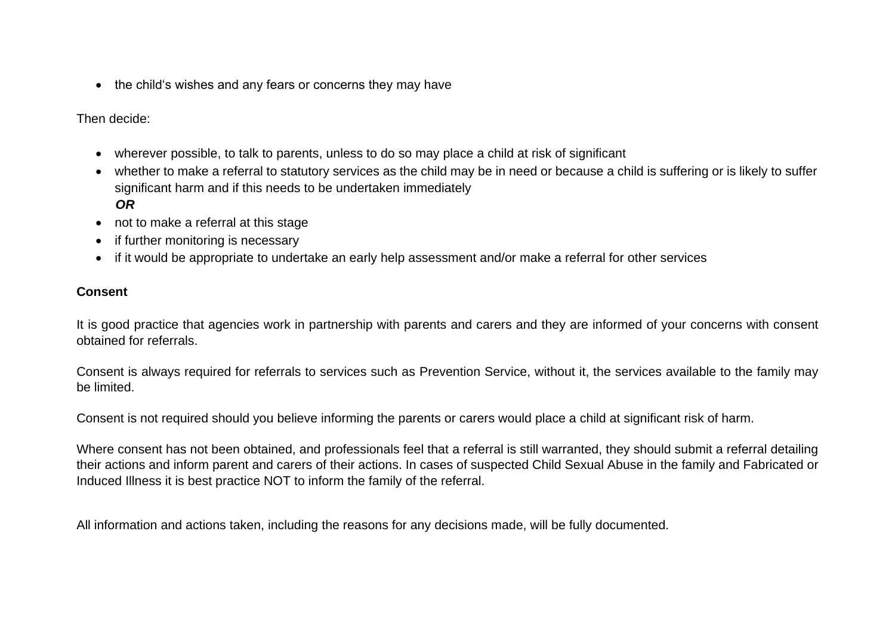• the child's wishes and any fears or concerns they may have

Then decide:

- wherever possible, to talk to parents, unless to do so may place a child at risk of significant
- whether to make a referral to statutory services as the child may be in need or because a child is suffering or is likely to suffer significant harm and if this needs to be undertaken immediately  *OR*
- not to make a referral at this stage
- if further monitoring is necessary
- if it would be appropriate to undertake an early help assessment and/or make a referral for other services

#### **Consent**

It is good practice that agencies work in partnership with parents and carers and they are informed of your concerns with consent obtained for referrals.

Consent is always required for referrals to services such as Prevention Service, without it, the services available to the family may be limited.

Consent is not required should you believe informing the parents or carers would place a child at significant risk of harm.

Where consent has not been obtained, and professionals feel that a referral is still warranted, they should submit a referral detailing their actions and inform parent and carers of their actions. In cases of suspected Child Sexual Abuse in the family and Fabricated or Induced Illness it is best practice NOT to inform the family of the referral.

All information and actions taken, including the reasons for any decisions made, will be fully documented.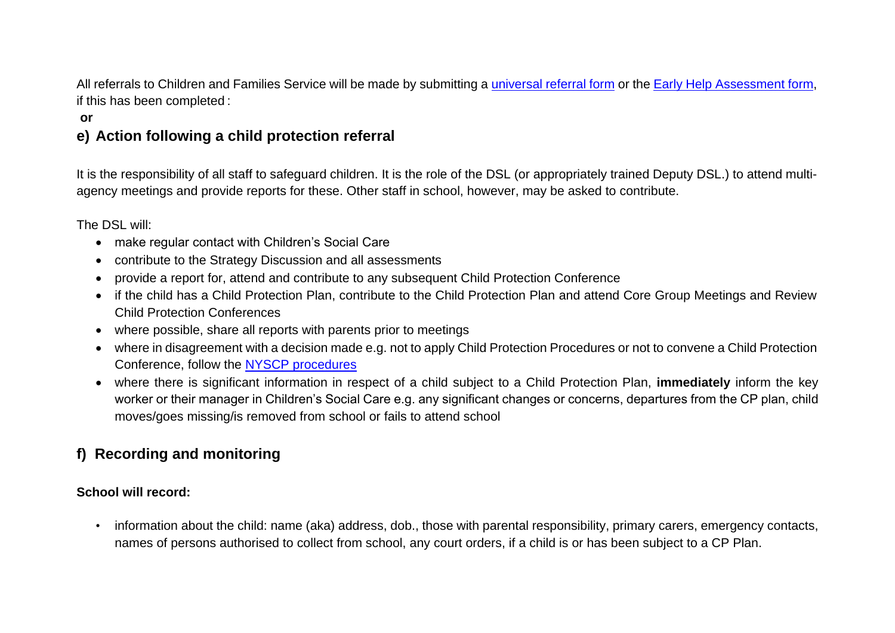All referrals to Children and Families Service will be made by submitting a [universal referral form](https://www.safeguardingchildren.co.uk/about-us/worried-about-a-child/) or the [Early Help Assessment form,](https://www.safeguardingchildren.co.uk/about-us/worried-about-a-child/) if this has been completed :

#### **or**

## **e) Action following a child protection referral**

It is the responsibility of all staff to safeguard children. It is the role of the DSL (or appropriately trained Deputy DSL.) to attend multiagency meetings and provide reports for these. Other staff in school, however, may be asked to contribute.

The DSL will:

- make regular contact with Children's Social Care
- contribute to the Strategy Discussion and all assessments
- provide a report for, attend and contribute to any subsequent Child Protection Conference
- if the child has a Child Protection Plan, contribute to the Child Protection Plan and attend Core Group Meetings and Review Child Protection Conferences
- where possible, share all reports with parents prior to meetings
- where in disagreement with a decision made e.g. not to apply Child Protection Procedures or not to convene a Child Protection Conference, follow the [NYSCP procedures](https://www.safeguardingchildren.co.uk/professionals/nyscb-procedures/)
- where there is significant information in respect of a child subject to a Child Protection Plan, **immediately** inform the key worker or their manager in Children's Social Care e.g. any significant changes or concerns, departures from the CP plan, child moves/goes missing/is removed from school or fails to attend school

## **f) Recording and monitoring**

#### **School will record:**

• information about the child: name (aka) address, dob., those with parental responsibility, primary carers, emergency contacts, names of persons authorised to collect from school, any court orders, if a child is or has been subject to a CP Plan.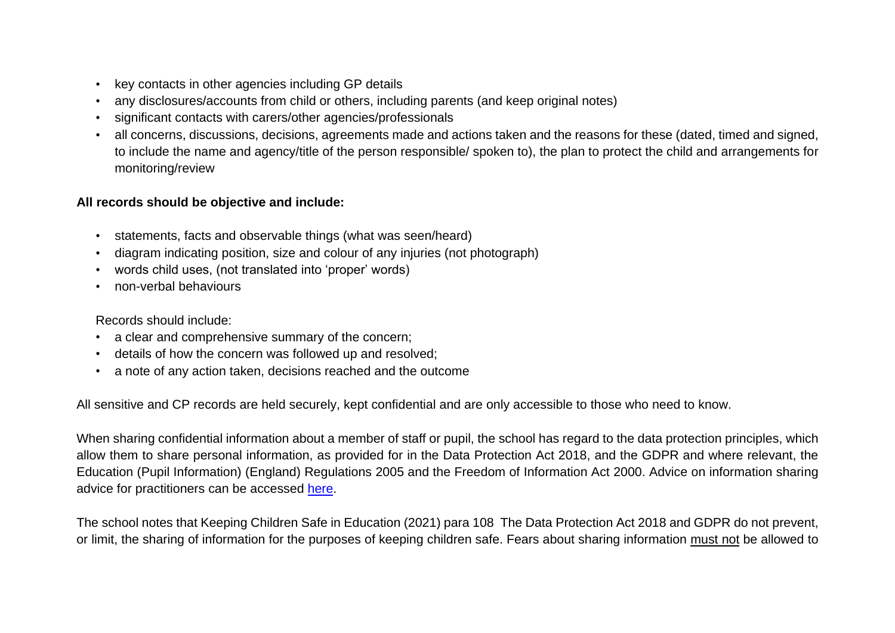- key contacts in other agencies including GP details
- any disclosures/accounts from child or others, including parents (and keep original notes)
- significant contacts with carers/other agencies/professionals
- all concerns, discussions, decisions, agreements made and actions taken and the reasons for these (dated, timed and signed, to include the name and agency/title of the person responsible/ spoken to), the plan to protect the child and arrangements for monitoring/review

#### **All records should be objective and include:**

- statements, facts and observable things (what was seen/heard)
- diagram indicating position, size and colour of any injuries (not photograph)
- words child uses, (not translated into 'proper' words)
- non-verbal behaviours

Records should include:

- a clear and comprehensive summary of the concern;
- details of how the concern was followed up and resolved;
- a note of any action taken, decisions reached and the outcome

All sensitive and CP records are held securely, kept confidential and are only accessible to those who need to know.

When sharing confidential information about a member of staff or pupil, the school has regard to the data protection principles, which allow them to share personal information, as provided for in the Data Protection Act 2018, and the GDPR and where relevant, the Education (Pupil Information) (England) Regulations 2005 and the Freedom of Information Act 2000. Advice on information sharing advice for practitioners can be accessed [here.](https://www.gov.uk/government/publications/safeguarding-practitioners-information-sharing-advice)

The school notes that Keeping Children Safe in Education (2021) para 108 The Data Protection Act 2018 and GDPR do not prevent, or limit, the sharing of information for the purposes of keeping children safe. Fears about sharing information must not be allowed to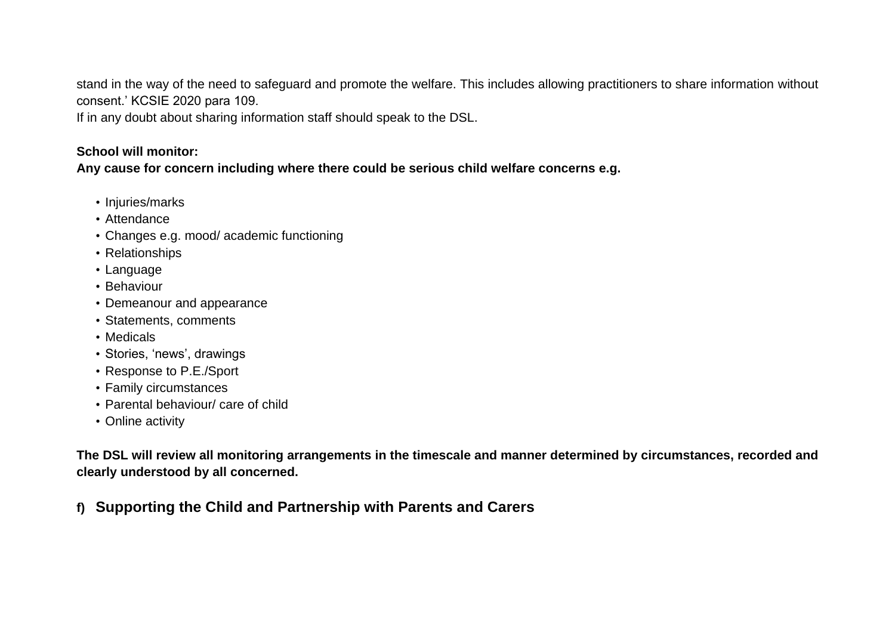stand in the way of the need to safeguard and promote the welfare. This includes allowing practitioners to share information without consent.' KCSIE 2020 para 109.

If in any doubt about sharing information staff should speak to the DSL.

#### **School will monitor:**

**Any cause for concern including where there could be serious child welfare concerns e.g.** 

- Injuries/marks
- Attendance
- Changes e.g. mood/ academic functioning
- Relationships
- Language
- Behaviour
- Demeanour and appearance
- Statements, comments
- Medicals
- Stories, 'news', drawings
- Response to P.E./Sport
- Family circumstances
- Parental behaviour/ care of child
- Online activity

**The DSL will review all monitoring arrangements in the timescale and manner determined by circumstances, recorded and clearly understood by all concerned.**

**f) Supporting the Child and Partnership with Parents and Carers**